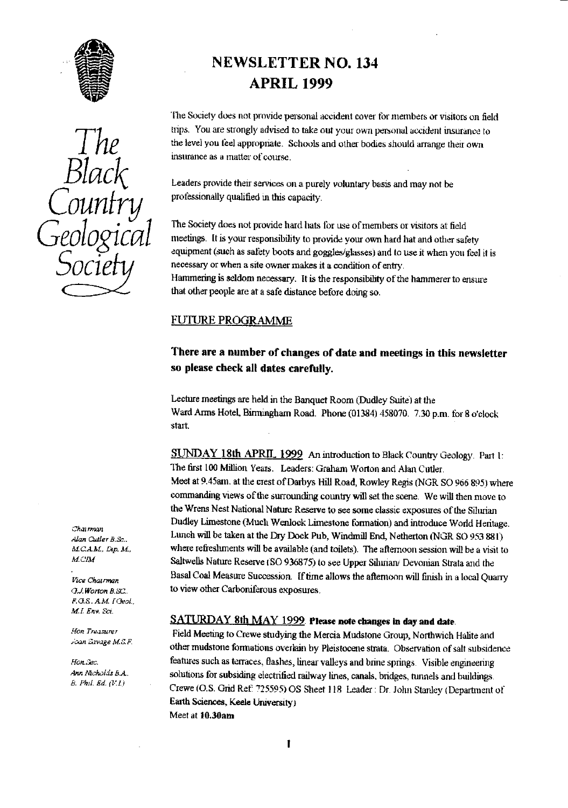

Geological

*ci*'

# NEWSLETTER NO. 134 APRIL 1999

The Society does not provide personal accident cover for members or visitors on field  $\frac{1}{2}$ ne trips. You are strongly advised to take out your own personal accident insurance to the level you leet appropriate. Schoolsand other bodies should arrange their own insurance as a matter of course. Leaders provide their services on a purely voluntary basis and may not be professionally qualified in this capacity.  $\overline{O}$ <br> $\overline{O}$   $\overline{O}$   $\overline{O}$   $\overline{O}$   $\overline{O}$   $\overline{O}$   $\overline{O}$   $\overline{O}$   $\overline{O}$   $\overline{O}$   $\overline{O}$   $\overline{O}$   $\overline{O}$   $\overline{O}$   $\overline{O}$   $\overline{O}$   $\overline{O}$   $\overline{O}$   $\overline{O}$   $\overline{O}$   $\overline{O}$   $\overline{O}$   $\overline{O}$   $\overline{$ 

> The Society does not provide hard hats for use of members or visitors at field CI meetings. It is your responsibility to provide your own hard hat and **oilier** safety equipment (such as safety boots and goggles/glasses) and to use it when you feel it is necessary or when a site owner makes it a condition of entry.<br>Hammering is seldom necessary. It is the responsibility of the hammerer to ensure

that other people are at a safe distance before doing so.

#### FUTURE PROGRAMME

# There are a number of changes of date and meetings in this newsletter so please check all dates carefully.

Lecture meetings are held in the Banquet Room (Dudley Suite) at the Ward Arms Hotel, Birmingham Road. Phone (01384) 458070. 7.30 p.m. for 6 o'clock start.

SUNDAY 18th APRIL 1999 An introduction to Black Country Geology. Part 1: The first 100 Million Years. Leaders: Graham Worton and Alan Cutler. Meet at 9.45am. at the crest of Darbys Hill Road, Rowley Regis (NGR SO 966 895) where commanding views of the surrounding country will set the scene. We will then move to the Wrens Nest National Nature Reserve to see some classic exposures of the Silurian \_ Dudley Limestone (Much Wenlock Limestone formation) and introduce World Heritage. *Alan GLtler B. Sc..* Lunch will be taken at the D *ry* Dock Pub, Windmill End,Netherton (NGR SO 953 881) *a1.CAM, Dip. M.* where refreshments will be available (and toilets). The afternoon session will be a visit to *M.CIM*<br>Saltwells Nature Reserve (SO 026975) to see Unper Silvrian: Devenion State and the Saltwells Nature Reserve **(SO 936875)** to see Upper Silurian/ Devonian Strata and the Basal Coal Measure Succession. If time allows the afternoon will finish in a local Quarry *O.J.Worton B.SC.* to view other Carboniferous exposures.

### SATURDAY 8th MAY 1999. Please note changes in day and date.

*Hon Treasurer* Field Meeting to C**re**we studying the Mercia. Mudstone Group, Northwich Halite and other mudstone formations overlain by Pleistocene strata. Observation of salt subsidence *mon. Sec.* **features such as terraces, flashes, linear valleys and brine springs.** Visible engineering *Ann Mchalds B.A.* solutions for subsiding algorithm income linear genula heide as ten subset in 11 income *Ann Nicholds B.A.* solutions for subsiding electrified railway lines, canals, bridges, tunnels and buildings.<br>B. Phil. Ed. (V.I.) 5. *Ph,1. Ed.* tz:r.i Crewe (U.S. Grid Ref **7**25595) OS Sheet 118 **Leader:** Dr. John Stanley IDepartment of Earth Sciences, Keels University) Meet at 1Q.30am

.<br>Vice Ch F.G.S. A.M. <sup>[Geol.,</sup> *M.L Env. So.*

*ran 2v <sup>z</sup> 6 M. AF.*

 $\mathbf{I}$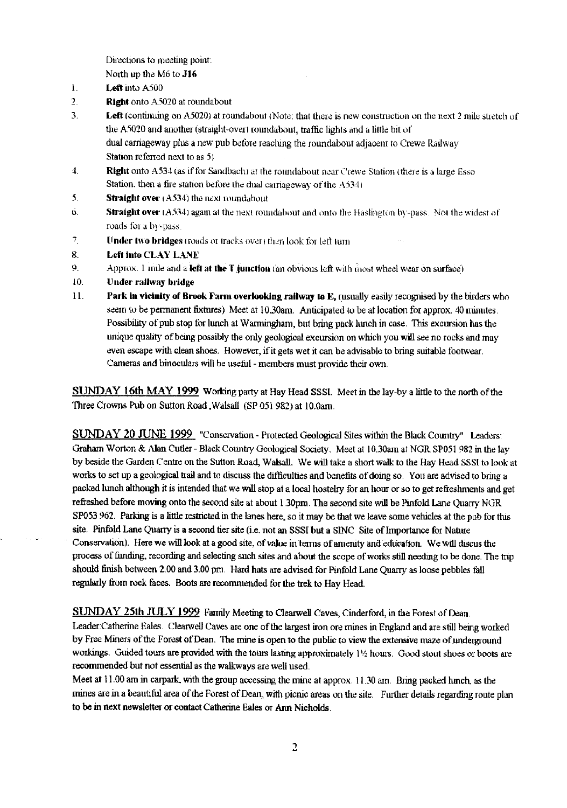Directions to meeting point:

North up the M6 to **J1b**

- **1. Left** into A500
- **2. Right** onto A3020 at roundabout
- **3. Left** (continuing on A5020) at roundabout (Note: that there is new construction on the next 2 mile stretch of the A5020 and another (straight-over) roundabout, traffic lights and a little bit of dual carriageway plus a new pub before reaching the roundabout adjacent to Crewe Railway Station referred next to as 51
- 4. Right onto A534 (as if for Sandbach) at the roundabout near Crewe Station (there is a large Esso Station, then a fire station before the dual carriageway of the A534)
- 5. **Straight over** (A534) the next roundabout
- 6. **Straight over** (A534) again at the next roundabout and onto the Hashington by -pass. Not the widest of roads for a by-pass.
- **7. IInder** two bridges t roads or tracks over then look for lad nun
- **8. Left into** CLAY LANE
- 9. Approx. I infle and a **left at tare 1',iunction** ran obvious left with most wheel wear on surface)
- 10. Under railway bridge
- **11. Park in vicinity of Brook Farm overlooking railway to E,** (usually easily recognised by the birders who seem to be permanent fixtures) Meet at 10.30am. Anticipated to be at location for approx. 40 minutes. Possibility of pub stop for lunch at Warmingham, but bring pack lunch in case. This excursion has the unique quality of being possibly the only geological excursion on which you will see no rocks and may even escape with clean shoes. However, if it gets wet it can be advisable to bring suitable footwear. Cameras and binoculars will be useful - members must provide their own.

SUNDAY **16th** MAY **1999** Working party at Hay Head SSSI\_ Meet in the lay-by a little to the north of the Three Crowns Pub on Sutton Road , Walsall (SP 051 982) at 10.0am.

SUNDAY 20 JUNE 1999 "Conservation - Protected Geological Sites within the Black Country" Leaders: Graham Worton & Alan Cutler - Black Country Geological Society. Meet at I0.30am at NGR SP051 982 in the lay by beside the Garden Centre on the Sutton Road, Walsall. We will take a short walk to the Hay Head SSSI to look at works to set up a geological trail and to discuss the difficulties and benefits of doing so. You are advised to bring a packed lunch although it is intended that we will stop at a local hostelry for an hour or so to get refreshments and get refreshed before moving onto the second site at about 1.30pm. The second site will be Pinfold Lane Quarry NGR SP053 962. Parking is a little restricted in the lanes here, so it may be that we leave some vehicles at the pub for this site. Pinfold Lane Quarry is a second tier site (i.e. not an SSSI but a SINC Site of Importance for Nature Conservation). Here we will look at a good site, of value in terms of amenity and education. We will discus the process of funding, recording and selecting such sites and about the scope of works still needing to be done. The trip should finish between 2.00 and 3.00 pm. Hard hats are advised for Pinfold Lane Quarry as loose pebbles tall *regularly from rock faces.* Boots are recommended for the trek to Hay Head.

SUNDAY 25th JULY 1999 Family Meeting to Clearwell Caves, Cinderford, in the Forest of Dean. Leader:Catherine Eales. Clearwell Caves are one of the largest iron ore mines in England and are still being worked by Free Miners of the Forest of Dean. The mine is open to the public to view the extensive maze of underground workings. Guided tours are provided with the tours lasting approximately 1½ hours. Good stout shoes or boots are recommended but not essential as the walkways are well used.

*Meet* at 11.00 am in carpark, with the group accessing the mine at approx.. 11.30 am. Bring packed lunch, as the mines are in a beautiful area of the Forest of Dean, with picnic areas on the site. Further details regarding route plan to be in next newsletter or contact Catherine Eales or Ann Nicholds.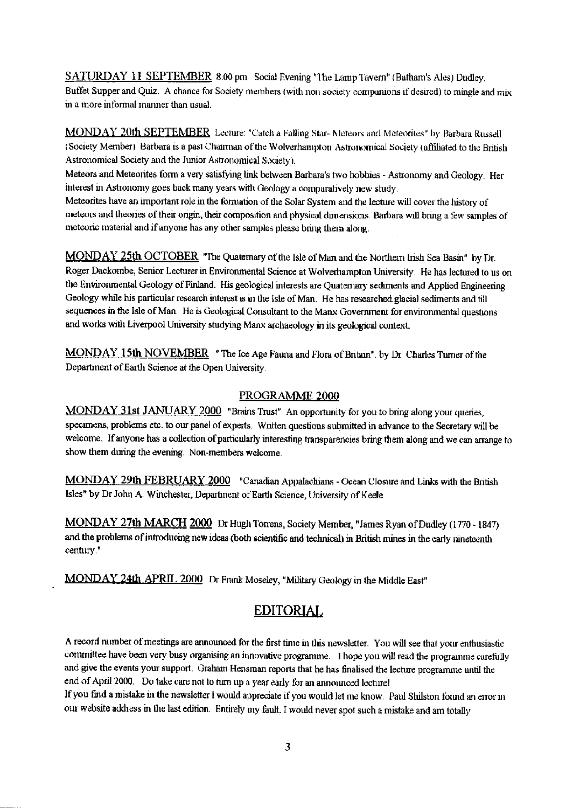SATURDAY 11 SEPTEMBER 8.00 pm. Social Evening "The Lamp Tavern" (Batham's Ales) Dudley. Buffet Supper and Quiz. A chance for Society members (with non society companions if desired) to mingle and mix in a more informal manner than usual.

MONDAY 20th SEPTEMBER Lecture: "Catch a Falling Star- Meteors and Meteorites" by Barbara Russell (Society Member) Barbara is a past Chairman of the W olverhampton Astronomical Society (affiliated to the British Astronomical Society and the Junior Astronomical Society).

Meteors and Meteorites form a very satisfying lint; between Barbara's two hobbies - Astronomy and Geology. Her interest in Astronomy goes back many years with Geology a comparatively new study.

Meteorites have an important role in the fomiation of the Solar System and the lectu<sup>r</sup> e will cover the history of meteors and theories of their origin, their composition and physical dimensions. Barbara will bring a few samples of meteoric material and if anyone has any other samples please bring them along.

MONDAY 25th OCTOBER "The Quaternary of the Isle of Man and the Northern Irish Sea Basin" by Dr. Roger Dackombe, Senior Lecturer in Environmental Science at Wolverhampton University. He has lectured to us on the Environmental Geology of Finland. His geological interests are Quaternary sediments and Applied Engineering Geology while his particular research interest is in the Isle of Man. He has researched glacial sediments and till sequences in the Isle of Man. *He is Geological* Consultant to the Manx *Government for* environmental questions and works with Liverpool University studying Manx archaeology in its geological context.

MONDAY 15th NOVEMBER " The Ice Age Fauna and Flora of Britain'. by Dr Charles Turner of the Department of Earth Science at the Open University.

### PROGRAMME 2000

MONDAY 31st JANUARY 2000 "Brains Trust" An opportunity for you to bring along your queries, specimens, problems etc. to our panel of experts. Written questions submitted in advance to the Secretary will be welcome. If anyone has a collection of particularly interesting transparencies bring them along and we can arrange to show them during the evening. Non-members welcome.

MONDAY 29th FEBRUARY 2000 "Canadian Appalachians - Ocean Closure and Links with the British Isles" by Dr John A. Winchester, Department of Earth Science, University of Keele

MONDAY 27th MARCH 2000 Dr Hugh Torrens, Society Member, "James Ryan of Dudley (1770 - 1847) and the problems of introducing new ideas (both scientific and technical) in British mines in the early nineteenth century.'

MONDAY 24th APRIL 2000 Dr Frank Moseley, "Military Geology in the Middle East"

# EDITORIAL

A record number of meetings are announced for the first tune in this newsletter. You will see that your enthusiastic committee have been *very* busy organising an innovative programme. I hope you will read the programme carefully and give the events your support. Graham Hensman reports that he has finalised the lecture programme until the end of April 2000. Do take care not to turn up a year early for an announced lecture!

If you find a mistake in the newsletter I would appreciate if you would let me know. Paul Shilston found an error in our website address in the last edition. Entirety my fault. I would never spot such a mistake and am totally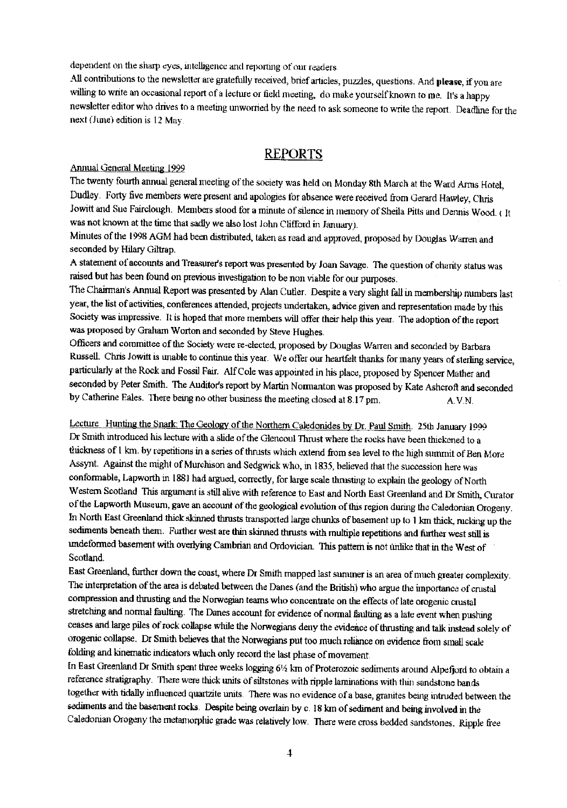dependent on the sharp eyes, intelligence and reporting of our readers.

All contributions to the newsletter are gratefully received, brief articles, puzzles, questions. And **please,** if you are willing to write an occasional report of a lecture or field meeting, do make yourself known to me. It's a happy newsletter editor who drives to a meeting unworried by the need to ask someone to write the report. Deadline for the next (June) edition is 12 May.

### REPORTS

Annual General Meeting 1999

The twenty fourth annual general meeting of the society was held on Monday 8th March at the Ward Arms Hotel, Dudley. Forty five members were present and apologies for absence were received from Gerard Hawley, Chris Jowitt and Sue Fairclough. Members stood for a minute of silence in memory of Sheila Pitts and Dennis Wood. ( It was not known at the time that sadly we also lost John Clifford in January).

Minutes of the 1998 AGM had been distributed, taken as read and approved, proposed by Douglas Warren and seconded by Hilary Giltrap.

A statement of accounts and Treasurer's report was presented by loan Savage. *The* question of charity status was raised but has been found on previous investigation to be non viable for our purposes.

The Chairman's Annual Report was presented by Alan Cutler. Despite a very slight fall in membership numbers last year, the list of activities, conferences attended, projects undertaken, advice given and representation made by this Society was impressive. It is hoped that more members will offer their help this year. The adoption of the report was proposed by Graham Worton and seconded by Steve Hughes.

Officers and committee of the *Society* were re-elected, proposed by Douglas Warren and seconded by Barbara Russell. Chris Jowitt is unable to *continue* this year. We offer our heartfelt thanks for many years of sterling service, particularly at the Rock and Fossil Fair. Alf Cole was appointed in his place, proposed by Spencer Mather and seconded by Peter Smith. The Auditor's report by Martin Normanton was proposed by Kate Ashcroft and seconded by Catherine Eales. There being no other business the meeting closed at  $8.17$  pm.  $A.V.N.$ 

Lecture Hunting the Snark: *The Geology* of the Northern Caledonides by Dr. Paul Smith. 25th January 1999 Dr Smith introduced his lecture with a slide of the Glencoul Thrust where the rocks have been thickened to a thickness of 1 km. by repetitions in a series of thrusts which extend from sea level to the high summit of Ben More Assynt. Against the might of Murchison and Sedgwick who, in 1835, believed that the succession here was conformable, Lapworth in 1881 had argued, correctly, for large scale thrusting to explain the geology of North Western Scotland This argument is still alive with reference to Fast and North East Greenland and Dr Smith, Curator of the Lapworth Museum, gave an account of the geological evolution of this region during the Caledonian Orogeny. In North East Greenland thick skinned thrusts transported large chunks of basement up to 1 km thick, rucking up the sediments beneath them. Further west are thin skinned thrusts with multiple repetitions and further west still is undeformed basement with overlying Cambrian and Ordovician. This pattern is not unlike that in the West of Scotland.

East Greenland, further down the coast, where Dr Smith mapped last summer is an area of much greater complexity. The interpretation of the area is debated between the Danes (and the British) who argue the importance of crustal compression and thrusting and the Norwegian teams who concentrate on the effects of late orogenic crustal stretching and normal faulting. The Danes account for evidence of normal faulting as a late event when pushing ceases and large piles of rock collapse while the Norwegians deny the evidence of thrusting and talk instead solely of orogenic collapse. Dr Smith believes that the Norwegians put too much reliance on evidence from small scale folding and kinematic indicators which only record the last phase of movement.

In East Greenland Dr Smith spent three weeks logging 61/2 km of Proterozoic sediments around Alpefjord to obtain a reference stratigraphy. There were thick units of siltstones with ripple laminations with thin sandstone bands together with tidally influenced quartzite units. There was no evidence of a base, granites being intruded between the sediments and the basement rocks. Despite being overlain by c. 18 km of sediment and being involved in the Caledonian Orogeny the metamorphic grade was relatively low. There were cross bedded sandstones. Ripple free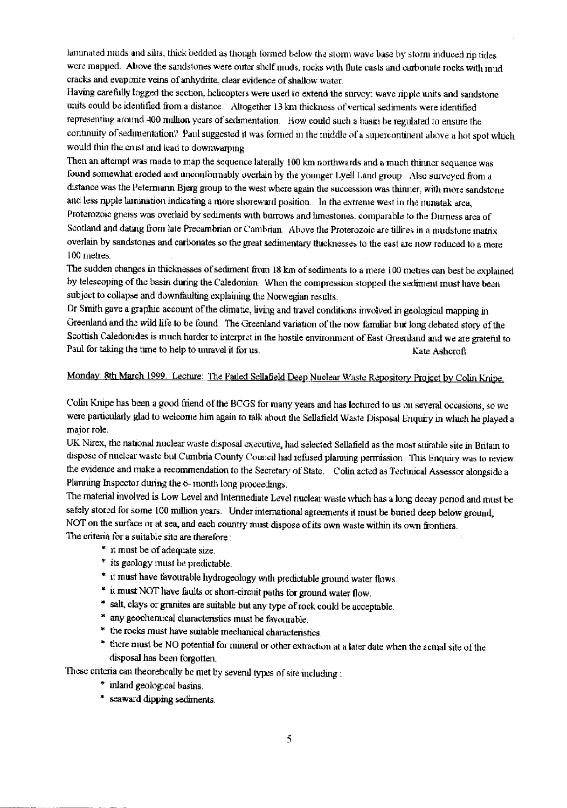laminated muds and silts, thick bedded as though formed below the storm wave base by storm induced rip tides were mapped. Above the sandstones were outer shelf muds, rocks with flute casts and carbonate rocks with mud cracks and evaporite veins of anhydrite, clear evidence of shallow water.

Having carefully logged the section, helicopters were used to extend the survey: wave ripple units and sandstone units could be identified from a distance. Altogether 13 km thickness of vertical sediments were identified representing around 400 million years of sedimentation. How could such a basin be regulated to ensure the continuity of sedimentation? Paul suggested it was formed in the middle of a supercontinent above a hot spot which would thin the crust and lead to downwarping.

Then an attempt was made to map the sequence laterally 100 km northwards and a much thinner sequence was found somewhat eroded and unconformably overlain by the younger Lyell Land group. Also surveyed from a distance w*as* the Petermann Bjerg group to the west where again the succession was thinner, with more sandstone and less ripple lamination indicating a more shoreward position., in the extreme west in the nuanatak area, Proterozoic gneiss was overlaid by sediments with burrows and limestones, comparable to the Durness area of Scotland and dating from late Precambrian or Cambrian. Above the Proterozoic are tillites in a mudstone matrix overlain by sandstones and carbonates so the great sedimentary thicknesses to the east are now reduced to a mere 100 metres.

The sudden changes in thicknesses of sediment from 18 km of sediments to a mere 100 metres can best be explained by telescoping of the basin during the Caledonian. When the compression stopped the sediment must have been subject to collapse and downtaulting explaining the Norwegian results.

Dr Smith gave a graphic account of the climatic, living and travel conditions involved in geological mapping in Greenland and the wild life to be found. The Greenland variation of the now familiar but long debated story of the Scottish Caledonides is much harder to interpret in the hostile environment of East Greenland and we are grateful to Paul for taking the time to help to unravel it for us. Kate Ashcroft Kate Ashcroft

## Monday 8th March 1999. Lecture: The Failed Sellafield Deep Nuclear Waste Repository Project by Colin

Colin Knipe has been a good friend of the BCGS for many years and has lectured to us on several occasions, so we were particularly glad to welcome him again to talk about the Sellafield Waste Disposal Enquiry in which he played a major role.

UK Nirex, the national nuclear waste disposal executive, had selected Seilafield as the most suitable site in Britain to dispose of nuclear waste but Cumbria County Council had refused planning permission. This Enquiry was to review the evidence and make a recommendation to the Secretary of State. Colin acted as Technical Assessor alongside a Planning Inspector during the 6- month long proceedings.

The material involved is Low Level and Intermediate Level nuclear waste which has a long decay period and must be safely stored for some 100 million years. Under international agreements it must be buried deep below ground, NOT on the surface or at sea, and each country must dispose of its own waste within its own frontiers.

The criteria for a suitable site are therefore:

- it must be of adequate size.
- \* its geology must be predictable.
- \* it must have fevourabie hydrogeology with predictable ground water flows.
- it must NOT have faults or short-circuit paths for ground water flow.
- \* salt, clays or granites are suitable but any type of rook could be acceptable.
- \* any geochemical characteristics must be favourable.
- \* the rocks must have suitable mechanical characteristics.
- \* there must be NO potential for mineral or other extraction at a later date when the actual site of the disposal has been forgotten.
- These criteria can theoretically be met by several types of site including:
	- \* inland geological basins.
	- \* seaward dipping sediments.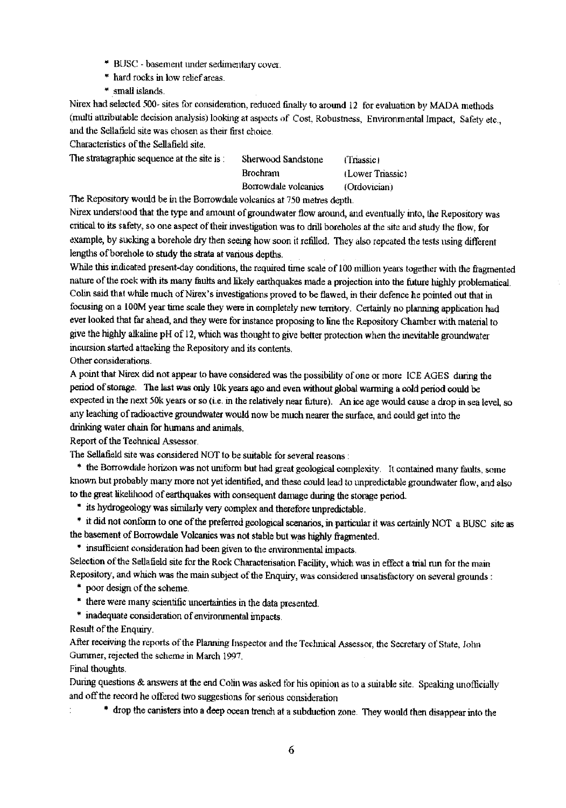- BLISC basement under sedimentary cover.
- hard rocks in low relief areas.
- \* small islands.

Nirex had selected 500- sites for consideration, reduced finally to around 12 for evaluation by MADA methods (multi attributable decision analysis) looking at aspects of Cost, Robustness, Environmental Impact, Safety etc., and the Sellafield site was chosen as their first choice.

Characteristics of the Sellafield site.

The stratagraphic sequence at the site is: Sherwood Sandstone (Triassic)

Brochram (Lower Triassic) Borrowdale volcanics (Ordovician)

The Repository would be in the Borrowdale volcanics at 750 metres depth.

Nirex understood that the type and amount of groundwater flow around, and eventually into, the Repository was critical to its safety, so one aspect of their investigation was to drill boreholes at the *site* and study the flow, for example, by sucking a borehole dry then seeing how soon it refilled. They also repeated the tests using different lengths of borehole to study the strata at various depths.

While *this* indicated present-day conditions, the required time scale of 100 million years together with the fragmented nature of the rock *with its many* faults and likely earthquakes made a projection into the future highly problematical. Cohn said that while much of Nirex's investigations proved to be flawed, in their defence he pointed *out* that in focusing on a 100M year time scale they were in completely new territory. Certainly no planning application had ever *looked that far* ahead, and they were for instance proposing to line the Repository Chamber with material to give the highly alkaline pH of 12, which was thought to give better protection when the inevitable groundwater incursion started attacking the Repository and its contents.

Other considerations.

A point that Nirex did not appear to have considered was the possibility of one or more ICE AGES during the period of storage. The last was only 10k years ago and even without global warming a cold period could be expected in the next 50k years or so (i.e. in the relatively *near* future). An ice age would cause a drop in sea level, so any leaching of radioactive groundwater would now be much nearer the surface, and could get into the drinking water chain for humans and animals.

Report of the Technical Assessor.

The Sellafield site was considered NOT to be suitable for several reasons:

\* the Borrowdale horizon was not uniform but had great geological complexity. It contained many faults, some known but probably many more not yet identified, and these could lead to unpredictable groundwater flow, and also to the great likelihood of earthquakes with consequent damage during the storage period\_

\* its hydrogeology was similarly very complex and therefore unpredictable.

\* it did not conform to one of the preferred geological scenarios, in particular it was certainly NOT a BUSC site as the basement of Borrowdale Volcanics was not stable but was highly fragmented.

\* insufficient consideration had been given to the environmental impacts.

Selection of the Sellafield site for the Rock Characterisation Facility, which was in effect a trial run for the main Repository, and which was the main subject of the Enquiry, was considered unsatisfactory on several grounds:

- \* poor design of the scheme.
- \* there were many scientific uncertainties in the data presented.
- \* inadequate consideration of environmental impacts.

Result of the Enquiry.

After receiving the reports of the Planning Inspector and the Technical Assessor, the Secretary of State, John Gumrner, rejected the scheme in March 1997.

Final thoughts.

 $\epsilon$ 

During questions & answers at the end Colin was asked for his opinion as to a suitable site. Speaking unofficially and off the record he offered two suggestions for serious consideration

\* drop the canisters into a deep ocean trench at a subduction zone. They would then disappear into *the*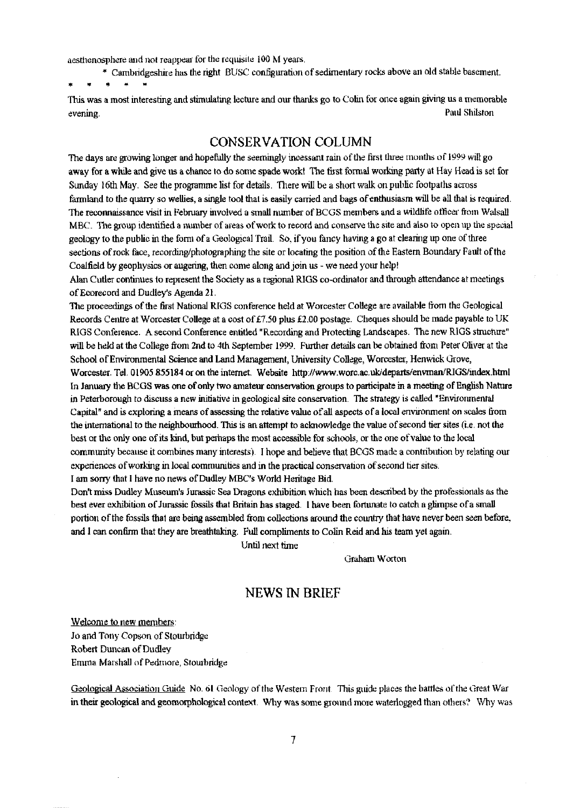aesthenosphere and not reappear for the requisite 100 M years.

\* Cambridgeshire has the right BUSC configuration of sedimentary rocks above an old stable basement.

This was a most interesting and stimulating lecture and our thanks go to Colin for once again giving us a memorable evening. Paul Shilston

### CONSERVATION COLUMN

The days are growing longer and hopefully the seemingly incessant rain of the first three months of 1999 will go away for a while and give us a chance to do some spade work! The first formal working party at Hay Head is set for Sunday 16th May. See the programme list for details. There will be a short walk on public footpaths across farmland to the quarry so wellies, a single tool that is easily carried and bags of enthusiasm will be all that is required. The reconnaissance visit in February involved a small number of BCGS members and a wildlife officer from Walsall MBC\_ The group identified a number of areas of work to record and conserve the site and also to open up the special geology to the public in the form of a Geological Trail. So, if you fancy having a go at clearing up one of three sections of rock face, recording/photographing the site or locating the position of the Eastern Boundary Fault of the Coalfield by geophysics or angering, then come along and join us - we need your help!

Alan Cutler continues to represent the Society as a regional RIGS co-ordinator and through attendance at meetings of Ecorecord and Dudley's Agenda 21.

The proceedings of the first National RIGS conference held at Worcester College are available from the Geological Records Centre at Worcester College at a cost of £7.50 plus £2.00 postage. Cheques should be made payable to UK RIGS Conference. A second Conference entitled "Recording and Protecting Landscapes. The new RIGS structure" will be held at the College from 2nd to 4th September 1999. Further details can be obtained from Peter Oliver at the School of Environmental Science and Land Management, University College, Worcester, Henwick Grove, Worcester. Tel. 01905 855184 or on the internet. Website http://www.worc.ac.uk/departs/envman/RIGS/index.html In January the BCGS was one of only two amateur conservation groups to participate in a meeting of English Nature *in Peterborough to* **discuss** a new initiative in geological site conservation. The strategy is called "Enviroiunental

Capital" and is exploring a means of assessing the relative value of all aspects of a local environment on scales from the international to the neighbourhood. This is an attempt to acknowledge the value of second tier sites (i.e. not the best or the only one of its kind, but perhaps the most accessible for schools, or the one of value to the local commiutity because it combines many interests). I hope and believe that BCGS made a contribution by relating our experiences of working in local communities and in the practical conservation of second tier sites.

I am sorry that I have no news of Dudley MBC's World Heritage Bid.

Don't miss Dudley Museum's Jurassic Sea Dragons exhibition *which has* been described by the professionals as the *best ever* exhibition of Jurassic fossils that Britain has staged. I have been fortunate to catch a glimpse of a small portion of the fossils that are being assembled from collections around the country that have never been seen before, and I can confirm that they are breathtaking. Full compliments to Colin Reid and his *team yet again.*

Until next time

Graham Worton

# NEWS IN BRIEF

Welcome to new members: Jo and Tony Copson of Stourbridge Robert Duncan of Dudley Emma Marshall of Pedrnore, Stourbridge

Geological Association Guide No. 61 Geology of the Western Front. This guide places the battles of the Great War in their geological and geomorphological context. Why was some ground more waterlogged than others? Why was